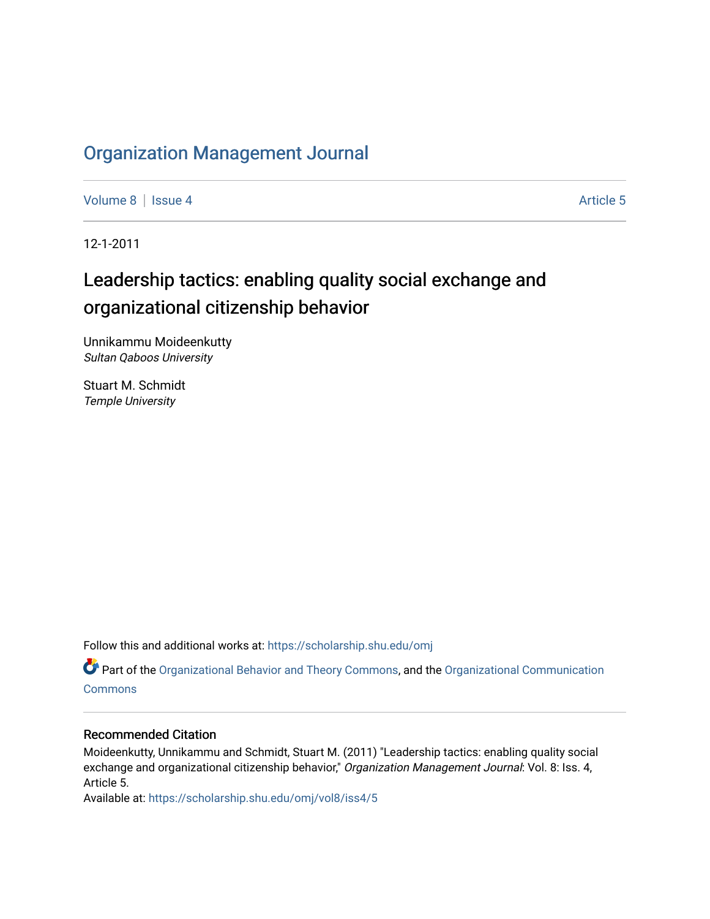# [Organization Management Journal](https://scholarship.shu.edu/omj)

[Volume 8](https://scholarship.shu.edu/omj/vol8) | [Issue 4](https://scholarship.shu.edu/omj/vol8/iss4) Article 5

12-1-2011

# Leadership tactics: enabling quality social exchange and organizational citizenship behavior

Unnikammu Moideenkutty Sultan Qaboos University

Stuart M. Schmidt Temple University

Follow this and additional works at: [https://scholarship.shu.edu/omj](https://scholarship.shu.edu/omj?utm_source=scholarship.shu.edu%2Fomj%2Fvol8%2Fiss4%2F5&utm_medium=PDF&utm_campaign=PDFCoverPages) 

Part of the [Organizational Behavior and Theory Commons,](http://network.bepress.com/hgg/discipline/639?utm_source=scholarship.shu.edu%2Fomj%2Fvol8%2Fiss4%2F5&utm_medium=PDF&utm_campaign=PDFCoverPages) and the [Organizational Communication](http://network.bepress.com/hgg/discipline/335?utm_source=scholarship.shu.edu%2Fomj%2Fvol8%2Fiss4%2F5&utm_medium=PDF&utm_campaign=PDFCoverPages) **[Commons](http://network.bepress.com/hgg/discipline/335?utm_source=scholarship.shu.edu%2Fomj%2Fvol8%2Fiss4%2F5&utm_medium=PDF&utm_campaign=PDFCoverPages)** 

### Recommended Citation

Moideenkutty, Unnikammu and Schmidt, Stuart M. (2011) "Leadership tactics: enabling quality social exchange and organizational citizenship behavior," Organization Management Journal: Vol. 8: Iss. 4, Article 5.

Available at: [https://scholarship.shu.edu/omj/vol8/iss4/5](https://scholarship.shu.edu/omj/vol8/iss4/5?utm_source=scholarship.shu.edu%2Fomj%2Fvol8%2Fiss4%2F5&utm_medium=PDF&utm_campaign=PDFCoverPages)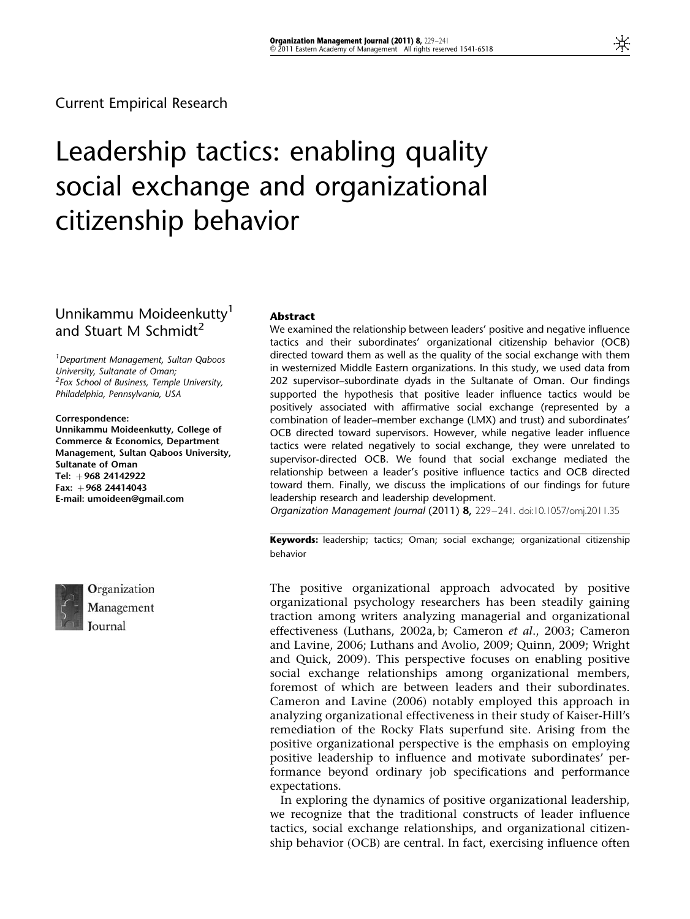# Leadership tactics: enabling quality social exchange and organizational citizenship behavior

## Unnikammu Moideenkutty<sup>1</sup> and Stuart M Schmidt<sup>2</sup>

1 Department Management, Sultan Qaboos University, Sultanate of Oman; <sup>2</sup> Fox School of Business, Temple University, Philadelphia, Pennsylvania, USA

#### Correspondence:

Unnikammu Moideenkutty, College of Commerce & Economics, Department Management, Sultan Qaboos University, Sultanate of Oman Tel: +968 24142922 Fax:  $+968$  24414043 E-mail: umoideen@gmail.com



Organization Management Journal

#### Abstract

We examined the relationship between leaders' positive and negative influence tactics and their subordinates' organizational citizenship behavior (OCB) directed toward them as well as the quality of the social exchange with them in westernized Middle Eastern organizations. In this study, we used data from 202 supervisor–subordinate dyads in the Sultanate of Oman. Our findings supported the hypothesis that positive leader influence tactics would be positively associated with affirmative social exchange (represented by a combination of leader–member exchange (LMX) and trust) and subordinates' OCB directed toward supervisors. However, while negative leader influence tactics were related negatively to social exchange, they were unrelated to supervisor-directed OCB. We found that social exchange mediated the relationship between a leader's positive influence tactics and OCB directed toward them. Finally, we discuss the implications of our findings for future leadership research and leadership development.

Organization Management Journal (2011) 8, 229–241. doi:10.1057/omj.2011.35

Keywords: leadership; tactics; Oman; social exchange; organizational citizenship behavior

The positive organizational approach advocated by positive organizational psychology researchers has been steadily gaining traction among writers analyzing managerial and organizational effectiveness (Luthans, 2002a, b; Cameron et al., 2003; Cameron and Lavine, 2006; Luthans and Avolio, 2009; Quinn, 2009; Wright and Quick, 2009). This perspective focuses on enabling positive social exchange relationships among organizational members, foremost of which are between leaders and their subordinates. Cameron and Lavine (2006) notably employed this approach in analyzing organizational effectiveness in their study of Kaiser-Hill's remediation of the Rocky Flats superfund site. Arising from the positive organizational perspective is the emphasis on employing positive leadership to influence and motivate subordinates' performance beyond ordinary job specifications and performance expectations.

In exploring the dynamics of positive organizational leadership, we recognize that the traditional constructs of leader influence tactics, social exchange relationships, and organizational citizenship behavior (OCB) are central. In fact, exercising influence often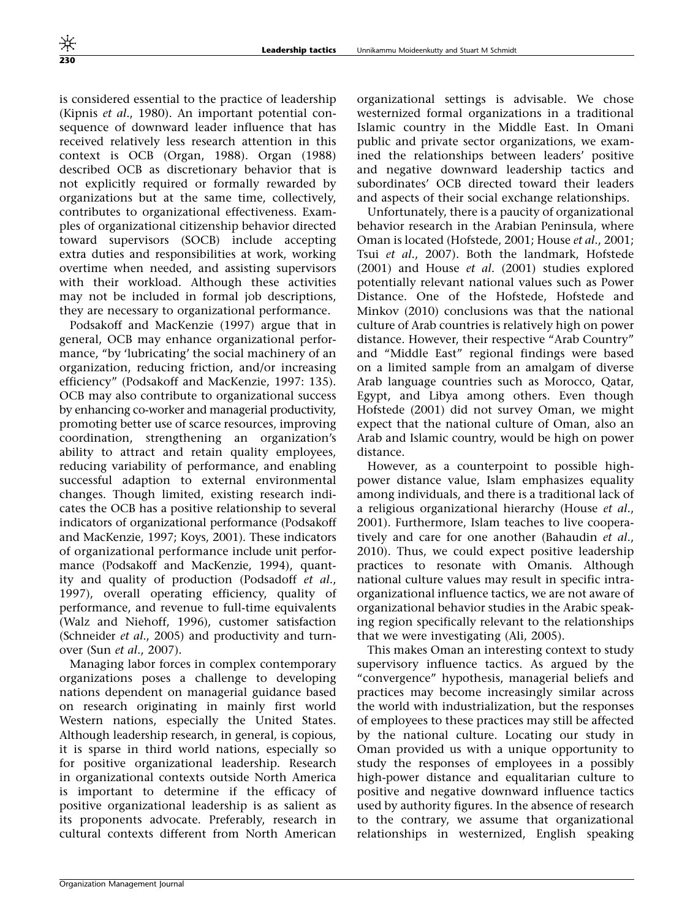is considered essential to the practice of leadership (Kipnis et al., 1980). An important potential consequence of downward leader influence that has received relatively less research attention in this context is OCB (Organ, 1988). Organ (1988) described OCB as discretionary behavior that is not explicitly required or formally rewarded by organizations but at the same time, collectively, contributes to organizational effectiveness. Examples of organizational citizenship behavior directed toward supervisors (SOCB) include accepting extra duties and responsibilities at work, working overtime when needed, and assisting supervisors with their workload. Although these activities may not be included in formal job descriptions, they are necessary to organizational performance.

Podsakoff and MacKenzie (1997) argue that in general, OCB may enhance organizational performance, "by 'lubricating' the social machinery of an organization, reducing friction, and/or increasing efficiency" (Podsakoff and MacKenzie, 1997: 135). OCB may also contribute to organizational success by enhancing co-worker and managerial productivity, promoting better use of scarce resources, improving coordination, strengthening an organization's ability to attract and retain quality employees, reducing variability of performance, and enabling successful adaption to external environmental changes. Though limited, existing research indicates the OCB has a positive relationship to several indicators of organizational performance (Podsakoff and MacKenzie, 1997; Koys, 2001). These indicators of organizational performance include unit performance (Podsakoff and MacKenzie, 1994), quantity and quality of production (Podsadoff et al., 1997), overall operating efficiency, quality of performance, and revenue to full-time equivalents (Walz and Niehoff, 1996), customer satisfaction (Schneider et al., 2005) and productivity and turnover (Sun et al., 2007).

Managing labor forces in complex contemporary organizations poses a challenge to developing nations dependent on managerial guidance based on research originating in mainly first world Western nations, especially the United States. Although leadership research, in general, is copious, it is sparse in third world nations, especially so for positive organizational leadership. Research in organizational contexts outside North America is important to determine if the efficacy of positive organizational leadership is as salient as its proponents advocate. Preferably, research in cultural contexts different from North American organizational settings is advisable. We chose westernized formal organizations in a traditional Islamic country in the Middle East. In Omani public and private sector organizations, we examined the relationships between leaders' positive and negative downward leadership tactics and subordinates' OCB directed toward their leaders and aspects of their social exchange relationships.

Unfortunately, there is a paucity of organizational behavior research in the Arabian Peninsula, where Oman is located (Hofstede, 2001; House et al., 2001; Tsui et al., 2007). Both the landmark, Hofstede (2001) and House et al. (2001) studies explored potentially relevant national values such as Power Distance. One of the Hofstede, Hofstede and Minkov (2010) conclusions was that the national culture of Arab countries is relatively high on power distance. However, their respective "Arab Country" and "Middle East" regional findings were based on a limited sample from an amalgam of diverse Arab language countries such as Morocco, Qatar, Egypt, and Libya among others. Even though Hofstede (2001) did not survey Oman, we might expect that the national culture of Oman, also an Arab and Islamic country, would be high on power distance.

However, as a counterpoint to possible highpower distance value, Islam emphasizes equality among individuals, and there is a traditional lack of a religious organizational hierarchy (House et al., 2001). Furthermore, Islam teaches to live cooperatively and care for one another (Bahaudin et al., 2010). Thus, we could expect positive leadership practices to resonate with Omanis. Although national culture values may result in specific intraorganizational influence tactics, we are not aware of organizational behavior studies in the Arabic speaking region specifically relevant to the relationships that we were investigating (Ali, 2005).

This makes Oman an interesting context to study supervisory influence tactics. As argued by the "convergence" hypothesis, managerial beliefs and practices may become increasingly similar across the world with industrialization, but the responses of employees to these practices may still be affected by the national culture. Locating our study in Oman provided us with a unique opportunity to study the responses of employees in a possibly high-power distance and equalitarian culture to positive and negative downward influence tactics used by authority figures. In the absence of research to the contrary, we assume that organizational relationships in westernized, English speaking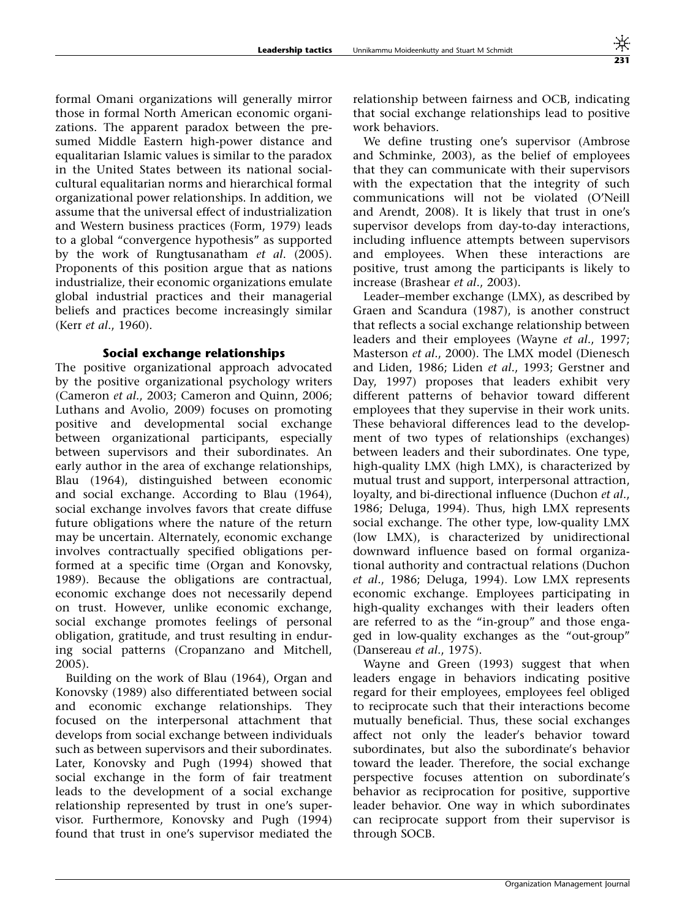formal Omani organizations will generally mirror those in formal North American economic organizations. The apparent paradox between the presumed Middle Eastern high-power distance and equalitarian Islamic values is similar to the paradox in the United States between its national socialcultural equalitarian norms and hierarchical formal organizational power relationships. In addition, we assume that the universal effect of industrialization and Western business practices (Form, 1979) leads to a global "convergence hypothesis" as supported by the work of Rungtusanatham et al. (2005). Proponents of this position argue that as nations industrialize, their economic organizations emulate global industrial practices and their managerial beliefs and practices become increasingly similar (Kerr et al., 1960).

#### Social exchange relationships

The positive organizational approach advocated by the positive organizational psychology writers (Cameron et al., 2003; Cameron and Quinn, 2006; Luthans and Avolio, 2009) focuses on promoting positive and developmental social exchange between organizational participants, especially between supervisors and their subordinates. An early author in the area of exchange relationships, Blau (1964), distinguished between economic and social exchange. According to Blau (1964), social exchange involves favors that create diffuse future obligations where the nature of the return may be uncertain. Alternately, economic exchange involves contractually specified obligations performed at a specific time (Organ and Konovsky, 1989). Because the obligations are contractual, economic exchange does not necessarily depend on trust. However, unlike economic exchange, social exchange promotes feelings of personal obligation, gratitude, and trust resulting in enduring social patterns (Cropanzano and Mitchell, 2005).

Building on the work of Blau (1964), Organ and Konovsky (1989) also differentiated between social and economic exchange relationships. They focused on the interpersonal attachment that develops from social exchange between individuals such as between supervisors and their subordinates. Later, Konovsky and Pugh (1994) showed that social exchange in the form of fair treatment leads to the development of a social exchange relationship represented by trust in one's supervisor. Furthermore, Konovsky and Pugh (1994) found that trust in one's supervisor mediated the relationship between fairness and OCB, indicating that social exchange relationships lead to positive work behaviors.

We define trusting one's supervisor (Ambrose and Schminke, 2003), as the belief of employees that they can communicate with their supervisors with the expectation that the integrity of such communications will not be violated (O'Neill and Arendt, 2008). It is likely that trust in one's supervisor develops from day-to-day interactions, including influence attempts between supervisors and employees. When these interactions are positive, trust among the participants is likely to increase (Brashear et al., 2003).

Leader–member exchange (LMX), as described by Graen and Scandura (1987), is another construct that reflects a social exchange relationship between leaders and their employees (Wayne et al., 1997; Masterson et al., 2000). The LMX model (Dienesch and Liden, 1986; Liden et al., 1993; Gerstner and Day, 1997) proposes that leaders exhibit very different patterns of behavior toward different employees that they supervise in their work units. These behavioral differences lead to the development of two types of relationships (exchanges) between leaders and their subordinates. One type, high-quality LMX (high LMX), is characterized by mutual trust and support, interpersonal attraction, loyalty, and bi-directional influence (Duchon et al., 1986; Deluga, 1994). Thus, high LMX represents social exchange. The other type, low-quality LMX (low LMX), is characterized by unidirectional downward influence based on formal organizational authority and contractual relations (Duchon et al., 1986; Deluga, 1994). Low LMX represents economic exchange. Employees participating in high-quality exchanges with their leaders often are referred to as the "in-group" and those engaged in low-quality exchanges as the "out-group" (Dansereau et al., 1975).

Wayne and Green (1993) suggest that when leaders engage in behaviors indicating positive regard for their employees, employees feel obliged to reciprocate such that their interactions become mutually beneficial. Thus, these social exchanges affect not only the leader's behavior toward subordinates, but also the subordinate's behavior toward the leader. Therefore, the social exchange perspective focuses attention on subordinate's behavior as reciprocation for positive, supportive leader behavior. One way in which subordinates can reciprocate support from their supervisor is through SOCB.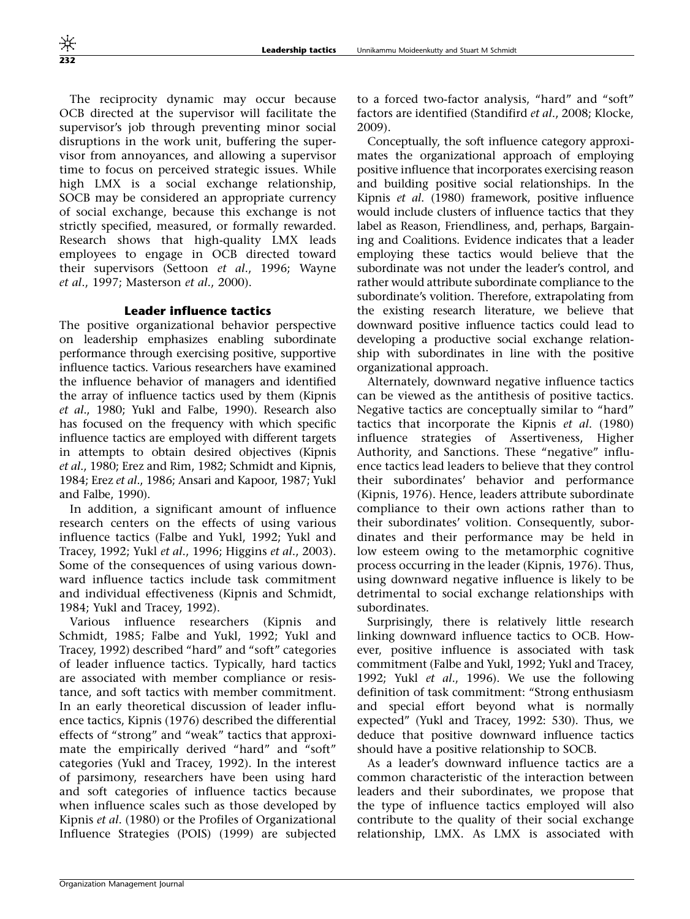The reciprocity dynamic may occur because OCB directed at the supervisor will facilitate the supervisor's job through preventing minor social disruptions in the work unit, buffering the supervisor from annoyances, and allowing a supervisor time to focus on perceived strategic issues. While high LMX is a social exchange relationship, SOCB may be considered an appropriate currency of social exchange, because this exchange is not strictly specified, measured, or formally rewarded. Research shows that high-quality LMX leads employees to engage in OCB directed toward their supervisors (Settoon et al., 1996; Wayne et al., 1997; Masterson et al., 2000).

#### Leader influence tactics

The positive organizational behavior perspective on leadership emphasizes enabling subordinate performance through exercising positive, supportive influence tactics. Various researchers have examined the influence behavior of managers and identified the array of influence tactics used by them (Kipnis et al., 1980; Yukl and Falbe, 1990). Research also has focused on the frequency with which specific influence tactics are employed with different targets in attempts to obtain desired objectives (Kipnis et al., 1980; Erez and Rim, 1982; Schmidt and Kipnis, 1984; Erez et al., 1986; Ansari and Kapoor, 1987; Yukl and Falbe, 1990).

In addition, a significant amount of influence research centers on the effects of using various influence tactics (Falbe and Yukl, 1992; Yukl and Tracey, 1992; Yukl et al., 1996; Higgins et al., 2003). Some of the consequences of using various downward influence tactics include task commitment and individual effectiveness (Kipnis and Schmidt, 1984; Yukl and Tracey, 1992).

Various influence researchers (Kipnis and Schmidt, 1985; Falbe and Yukl, 1992; Yukl and Tracey, 1992) described "hard" and "soft" categories of leader influence tactics. Typically, hard tactics are associated with member compliance or resistance, and soft tactics with member commitment. In an early theoretical discussion of leader influence tactics, Kipnis (1976) described the differential effects of "strong" and "weak" tactics that approximate the empirically derived "hard" and "soft" categories (Yukl and Tracey, 1992). In the interest of parsimony, researchers have been using hard and soft categories of influence tactics because when influence scales such as those developed by Kipnis et al. (1980) or the Profiles of Organizational Influence Strategies (POIS) (1999) are subjected to a forced two-factor analysis, "hard" and "soft" factors are identified (Standifird et al., 2008; Klocke, 2009).

Conceptually, the soft influence category approximates the organizational approach of employing positive influence that incorporates exercising reason and building positive social relationships. In the Kipnis et al. (1980) framework, positive influence would include clusters of influence tactics that they label as Reason, Friendliness, and, perhaps, Bargaining and Coalitions. Evidence indicates that a leader employing these tactics would believe that the subordinate was not under the leader's control, and rather would attribute subordinate compliance to the subordinate's volition. Therefore, extrapolating from the existing research literature, we believe that downward positive influence tactics could lead to developing a productive social exchange relationship with subordinates in line with the positive organizational approach.

Alternately, downward negative influence tactics can be viewed as the antithesis of positive tactics. Negative tactics are conceptually similar to "hard" tactics that incorporate the Kipnis et al. (1980) influence strategies of Assertiveness, Higher Authority, and Sanctions. These "negative" influence tactics lead leaders to believe that they control their subordinates' behavior and performance (Kipnis, 1976). Hence, leaders attribute subordinate compliance to their own actions rather than to their subordinates' volition. Consequently, subordinates and their performance may be held in low esteem owing to the metamorphic cognitive process occurring in the leader (Kipnis, 1976). Thus, using downward negative influence is likely to be detrimental to social exchange relationships with subordinates.

Surprisingly, there is relatively little research linking downward influence tactics to OCB. However, positive influence is associated with task commitment (Falbe and Yukl, 1992; Yukl and Tracey, 1992; Yukl et al., 1996). We use the following definition of task commitment: "Strong enthusiasm and special effort beyond what is normally expected" (Yukl and Tracey, 1992: 530). Thus, we deduce that positive downward influence tactics should have a positive relationship to SOCB.

As a leader's downward influence tactics are a common characteristic of the interaction between leaders and their subordinates, we propose that the type of influence tactics employed will also contribute to the quality of their social exchange relationship, LMX. As LMX is associated with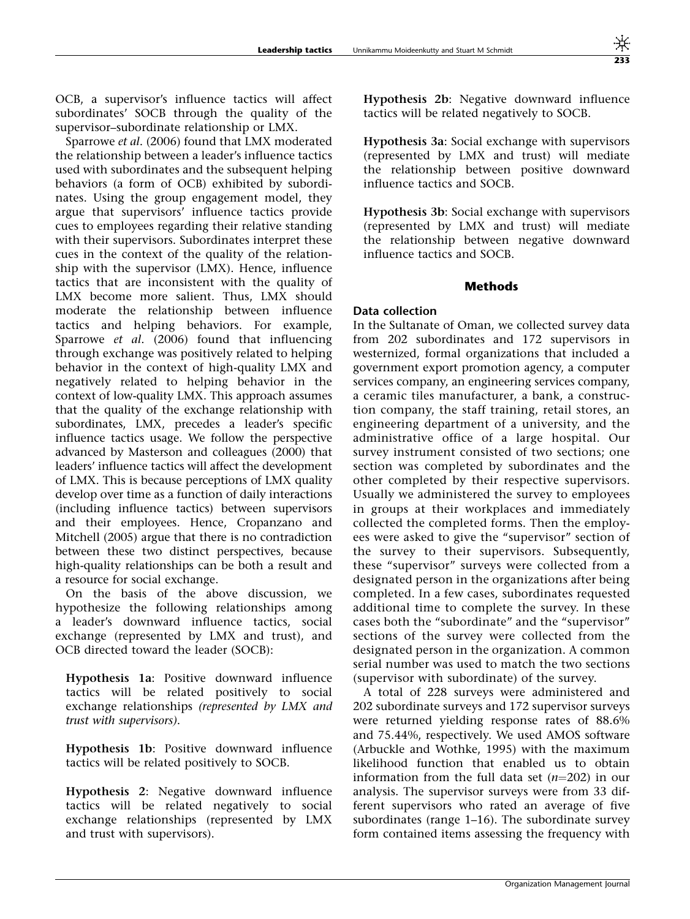OCB, a supervisor's influence tactics will affect subordinates' SOCB through the quality of the supervisor–subordinate relationship or LMX.

Sparrowe et al. (2006) found that LMX moderated the relationship between a leader's influence tactics used with subordinates and the subsequent helping behaviors (a form of OCB) exhibited by subordinates. Using the group engagement model, they argue that supervisors' influence tactics provide cues to employees regarding their relative standing with their supervisors. Subordinates interpret these cues in the context of the quality of the relationship with the supervisor (LMX). Hence, influence tactics that are inconsistent with the quality of LMX become more salient. Thus, LMX should moderate the relationship between influence tactics and helping behaviors. For example, Sparrowe et al. (2006) found that influencing through exchange was positively related to helping behavior in the context of high-quality LMX and negatively related to helping behavior in the context of low-quality LMX. This approach assumes that the quality of the exchange relationship with subordinates, LMX, precedes a leader's specific influence tactics usage. We follow the perspective advanced by Masterson and colleagues (2000) that leaders' influence tactics will affect the development of LMX. This is because perceptions of LMX quality develop over time as a function of daily interactions (including influence tactics) between supervisors and their employees. Hence, Cropanzano and Mitchell (2005) argue that there is no contradiction between these two distinct perspectives, because high-quality relationships can be both a result and a resource for social exchange.

On the basis of the above discussion, we hypothesize the following relationships among a leader's downward influence tactics, social exchange (represented by LMX and trust), and OCB directed toward the leader (SOCB):

Hypothesis 1a: Positive downward influence tactics will be related positively to social exchange relationships (represented by LMX and trust with supervisors).

Hypothesis 1b: Positive downward influence tactics will be related positively to SOCB.

Hypothesis 2: Negative downward influence tactics will be related negatively to social exchange relationships (represented by LMX and trust with supervisors).

Hypothesis 2b: Negative downward influence tactics will be related negatively to SOCB.

Hypothesis 3a: Social exchange with supervisors (represented by LMX and trust) will mediate the relationship between positive downward influence tactics and SOCB.

Hypothesis 3b: Social exchange with supervisors (represented by LMX and trust) will mediate the relationship between negative downward influence tactics and SOCB.

#### Methods

#### Data collection

In the Sultanate of Oman, we collected survey data from 202 subordinates and 172 supervisors in westernized, formal organizations that included a government export promotion agency, a computer services company, an engineering services company, a ceramic tiles manufacturer, a bank, a construction company, the staff training, retail stores, an engineering department of a university, and the administrative office of a large hospital. Our survey instrument consisted of two sections; one section was completed by subordinates and the other completed by their respective supervisors. Usually we administered the survey to employees in groups at their workplaces and immediately collected the completed forms. Then the employees were asked to give the "supervisor" section of the survey to their supervisors. Subsequently, these "supervisor" surveys were collected from a designated person in the organizations after being completed. In a few cases, subordinates requested additional time to complete the survey. In these cases both the "subordinate" and the "supervisor" sections of the survey were collected from the designated person in the organization. A common serial number was used to match the two sections (supervisor with subordinate) of the survey.

A total of 228 surveys were administered and 202 subordinate surveys and 172 supervisor surveys were returned yielding response rates of 88.6% and 75.44%, respectively. We used AMOS software (Arbuckle and Wothke, 1995) with the maximum likelihood function that enabled us to obtain information from the full data set  $(n=202)$  in our analysis. The supervisor surveys were from 33 different supervisors who rated an average of five subordinates (range 1–16). The subordinate survey form contained items assessing the frequency with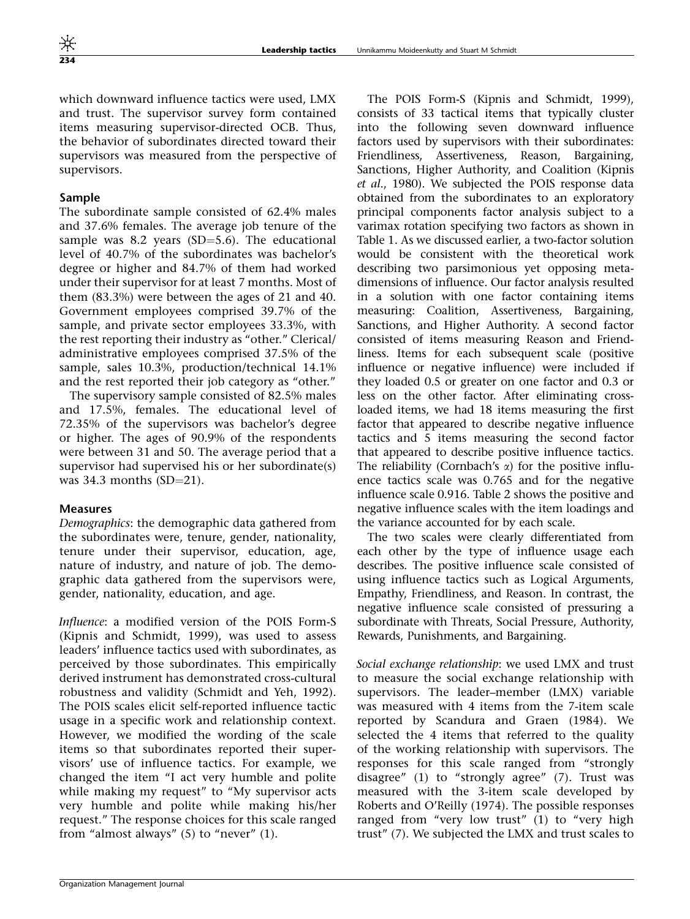which downward influence tactics were used, LMX and trust. The supervisor survey form contained items measuring supervisor-directed OCB. Thus, the behavior of subordinates directed toward their supervisors was measured from the perspective of supervisors.

#### Sample

The subordinate sample consisted of 62.4% males and 37.6% females. The average job tenure of the sample was 8.2 years (SD=5.6). The educational level of 40.7% of the subordinates was bachelor's degree or higher and 84.7% of them had worked under their supervisor for at least 7 months. Most of them (83.3%) were between the ages of 21 and 40. Government employees comprised 39.7% of the sample, and private sector employees 33.3%, with the rest reporting their industry as "other." Clerical/ administrative employees comprised 37.5% of the sample, sales 10.3%, production/technical 14.1% and the rest reported their job category as "other."

The supervisory sample consisted of 82.5% males and 17.5%, females. The educational level of 72.35% of the supervisors was bachelor's degree or higher. The ages of 90.9% of the respondents were between 31 and 50. The average period that a supervisor had supervised his or her subordinate(s) was  $34.3$  months  $(SD=21)$ .

#### Measures

Demographics: the demographic data gathered from the subordinates were, tenure, gender, nationality, tenure under their supervisor, education, age, nature of industry, and nature of job. The demographic data gathered from the supervisors were, gender, nationality, education, and age.

Influence: a modified version of the POIS Form-S (Kipnis and Schmidt, 1999), was used to assess leaders' influence tactics used with subordinates, as perceived by those subordinates. This empirically derived instrument has demonstrated cross-cultural robustness and validity (Schmidt and Yeh, 1992). The POIS scales elicit self-reported influence tactic usage in a specific work and relationship context. However, we modified the wording of the scale items so that subordinates reported their supervisors' use of influence tactics. For example, we changed the item "I act very humble and polite while making my request" to "My supervisor acts very humble and polite while making his/her request." The response choices for this scale ranged from "almost always" (5) to "never" (1).

The POIS Form-S (Kipnis and Schmidt, 1999), consists of 33 tactical items that typically cluster into the following seven downward influence factors used by supervisors with their subordinates: Friendliness, Assertiveness, Reason, Bargaining, Sanctions, Higher Authority, and Coalition (Kipnis et al., 1980). We subjected the POIS response data obtained from the subordinates to an exploratory principal components factor analysis subject to a varimax rotation specifying two factors as shown in Table 1. As we discussed earlier, a two-factor solution would be consistent with the theoretical work describing two parsimonious yet opposing metadimensions of influence. Our factor analysis resulted in a solution with one factor containing items measuring: Coalition, Assertiveness, Bargaining, Sanctions, and Higher Authority. A second factor consisted of items measuring Reason and Friendliness. Items for each subsequent scale (positive influence or negative influence) were included if they loaded 0.5 or greater on one factor and 0.3 or less on the other factor. After eliminating crossloaded items, we had 18 items measuring the first factor that appeared to describe negative influence tactics and 5 items measuring the second factor that appeared to describe positive influence tactics. The reliability (Cornbach's  $\alpha$ ) for the positive influence tactics scale was 0.765 and for the negative influence scale 0.916. Table 2 shows the positive and negative influence scales with the item loadings and the variance accounted for by each scale.

The two scales were clearly differentiated from each other by the type of influence usage each describes. The positive influence scale consisted of using influence tactics such as Logical Arguments, Empathy, Friendliness, and Reason. In contrast, the negative influence scale consisted of pressuring a subordinate with Threats, Social Pressure, Authority, Rewards, Punishments, and Bargaining.

Social exchange relationship: we used LMX and trust to measure the social exchange relationship with supervisors. The leader–member (LMX) variable was measured with 4 items from the 7-item scale reported by Scandura and Graen (1984). We selected the 4 items that referred to the quality of the working relationship with supervisors. The responses for this scale ranged from "strongly disagree" (1) to "strongly agree" (7). Trust was measured with the 3-item scale developed by Roberts and O'Reilly (1974). The possible responses ranged from "very low trust" (1) to "very high trust" (7). We subjected the LMX and trust scales to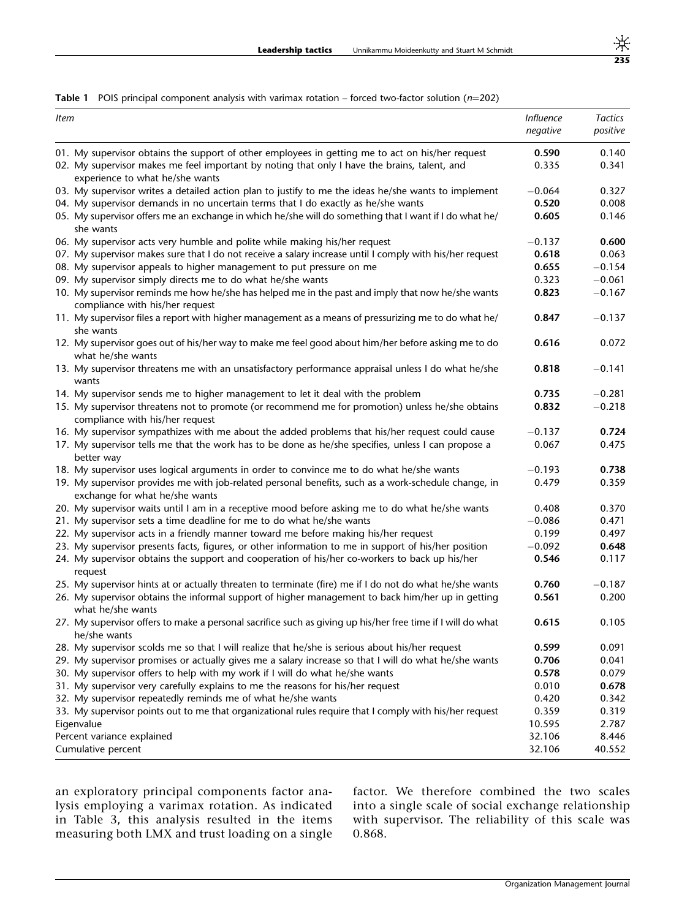Table 1 POIS principal component analysis with varimax rotation – forced two-factor solution ( $n=202$ )

| Item |                                                                                                                                                                                                  | <i>Influence</i><br>negative | Tactics<br>positive |
|------|--------------------------------------------------------------------------------------------------------------------------------------------------------------------------------------------------|------------------------------|---------------------|
|      | 01. My supervisor obtains the support of other employees in getting me to act on his/her request<br>02. My supervisor makes me feel important by noting that only I have the brains, talent, and | 0.590<br>0.335               | 0.140<br>0.341      |
|      | experience to what he/she wants                                                                                                                                                                  |                              |                     |
|      | 03. My supervisor writes a detailed action plan to justify to me the ideas he/she wants to implement                                                                                             | $-0.064$                     | 0.327               |
|      | 04. My supervisor demands in no uncertain terms that I do exactly as he/she wants                                                                                                                | 0.520                        | 0.008               |
|      | 05. My supervisor offers me an exchange in which he/she will do something that I want if I do what he/                                                                                           | 0.605                        | 0.146               |
|      | she wants                                                                                                                                                                                        |                              |                     |
|      | 06. My supervisor acts very humble and polite while making his/her request                                                                                                                       | $-0.137$                     | 0.600               |
|      | 07. My supervisor makes sure that I do not receive a salary increase until I comply with his/her request                                                                                         | 0.618                        | 0.063               |
|      | 08. My supervisor appeals to higher management to put pressure on me                                                                                                                             | 0.655                        | $-0.154$            |
|      | 09. My supervisor simply directs me to do what he/she wants                                                                                                                                      | 0.323                        | $-0.061$            |
|      | 10. My supervisor reminds me how he/she has helped me in the past and imply that now he/she wants<br>compliance with his/her request                                                             | 0.823                        | $-0.167$            |
|      | 11. My supervisor files a report with higher management as a means of pressurizing me to do what he/<br>she wants                                                                                | 0.847                        | $-0.137$            |
|      | 12. My supervisor goes out of his/her way to make me feel good about him/her before asking me to do<br>what he/she wants                                                                         | 0.616                        | 0.072               |
|      | 13. My supervisor threatens me with an unsatisfactory performance appraisal unless I do what he/she<br>wants                                                                                     | 0.818                        | $-0.141$            |
|      | 14. My supervisor sends me to higher management to let it deal with the problem                                                                                                                  | 0.735                        | $-0.281$            |
|      | 15. My supervisor threatens not to promote (or recommend me for promotion) unless he/she obtains<br>compliance with his/her request                                                              | 0.832                        | $-0.218$            |
|      | 16. My supervisor sympathizes with me about the added problems that his/her request could cause                                                                                                  | $-0.137$                     | 0.724               |
|      | 17. My supervisor tells me that the work has to be done as he/she specifies, unless I can propose a<br>better way                                                                                | 0.067                        | 0.475               |
|      | 18. My supervisor uses logical arguments in order to convince me to do what he/she wants                                                                                                         | $-0.193$                     | 0.738               |
|      | 19. My supervisor provides me with job-related personal benefits, such as a work-schedule change, in<br>exchange for what he/she wants                                                           | 0.479                        | 0.359               |
|      | 20. My supervisor waits until I am in a receptive mood before asking me to do what he/she wants                                                                                                  | 0.408                        | 0.370               |
|      | 21. My supervisor sets a time deadline for me to do what he/she wants                                                                                                                            | $-0.086$                     | 0.471               |
|      | 22. My supervisor acts in a friendly manner toward me before making his/her request                                                                                                              | 0.199                        | 0.497               |
|      | 23. My supervisor presents facts, figures, or other information to me in support of his/her position                                                                                             | $-0.092$                     | 0.648               |
|      | 24. My supervisor obtains the support and cooperation of his/her co-workers to back up his/her<br>request                                                                                        | 0.546                        | 0.117               |
|      | 25. My supervisor hints at or actually threaten to terminate (fire) me if I do not do what he/she wants                                                                                          | 0.760                        | $-0.187$            |
|      | 26. My supervisor obtains the informal support of higher management to back him/her up in getting<br>what he/she wants                                                                           | 0.561                        | 0.200               |
|      | 27. My supervisor offers to make a personal sacrifice such as giving up his/her free time if I will do what<br>he/she wants                                                                      | 0.615                        | 0.105               |
|      | 28. My supervisor scolds me so that I will realize that he/she is serious about his/her request                                                                                                  | 0.599                        | 0.091               |
|      | 29. My supervisor promises or actually gives me a salary increase so that I will do what he/she wants                                                                                            | 0.706                        | 0.041               |
|      | 30. My supervisor offers to help with my work if I will do what he/she wants                                                                                                                     | 0.578                        | 0.079               |
|      | 31. My supervisor very carefully explains to me the reasons for his/her request                                                                                                                  | 0.010                        | 0.678               |
|      | 32. My supervisor repeatedly reminds me of what he/she wants                                                                                                                                     | 0.420                        | 0.342               |
|      | 33. My supervisor points out to me that organizational rules require that I comply with his/her request                                                                                          | 0.359                        | 0.319               |
|      | Eigenvalue                                                                                                                                                                                       | 10.595                       | 2.787               |
|      | Percent variance explained                                                                                                                                                                       | 32.106                       | 8.446               |
|      | Cumulative percent                                                                                                                                                                               | 32.106                       | 40.552              |

an exploratory principal components factor analysis employing a varimax rotation. As indicated in Table 3, this analysis resulted in the items measuring both LMX and trust loading on a single factor. We therefore combined the two scales into a single scale of social exchange relationship with supervisor. The reliability of this scale was 0.868.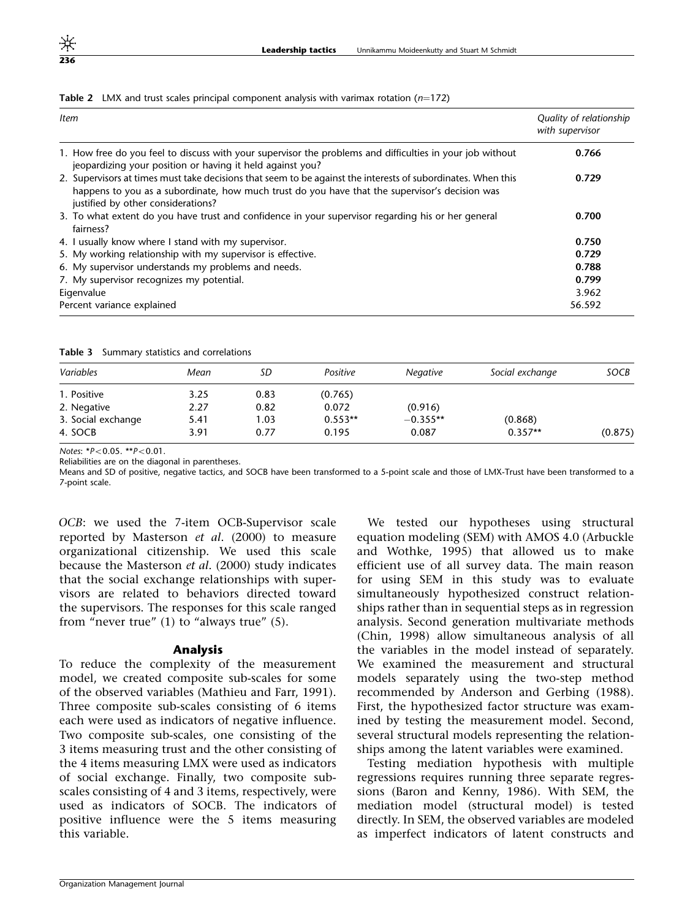|  |  |  |  |  | <b>Table 2</b> LMX and trust scales principal component analysis with varimax rotation $(n=172)$ |
|--|--|--|--|--|--------------------------------------------------------------------------------------------------|
|--|--|--|--|--|--------------------------------------------------------------------------------------------------|

| Item                                                                                                                                                                                                                                                 | Quality of relationship<br>with supervisor |
|------------------------------------------------------------------------------------------------------------------------------------------------------------------------------------------------------------------------------------------------------|--------------------------------------------|
| 1. How free do you feel to discuss with your supervisor the problems and difficulties in your job without<br>jeopardizing your position or having it held against you?                                                                               | 0.766                                      |
| 2. Supervisors at times must take decisions that seem to be against the interests of subordinates. When this<br>happens to you as a subordinate, how much trust do you have that the supervisor's decision was<br>justified by other considerations? | 0.729                                      |
| 3. To what extent do you have trust and confidence in your supervisor regarding his or her general<br>fairness?                                                                                                                                      | 0.700                                      |
| 4. I usually know where I stand with my supervisor.                                                                                                                                                                                                  | 0.750                                      |
| 5. My working relationship with my supervisor is effective.                                                                                                                                                                                          | 0.729                                      |
| 6. My supervisor understands my problems and needs.                                                                                                                                                                                                  | 0.788                                      |
| 7. My supervisor recognizes my potential.                                                                                                                                                                                                            | 0.799                                      |
| Eigenvalue                                                                                                                                                                                                                                           | 3.962                                      |
| Percent variance explained                                                                                                                                                                                                                           | 56.592                                     |

Table 3 Summary statistics and correlations

| Variables          | Mean | SD   | Positive  | <b>Negative</b> | Social exchange | SOCB    |
|--------------------|------|------|-----------|-----------------|-----------------|---------|
| 1. Positive        | 3.25 | 0.83 | (0.765)   |                 |                 |         |
| 2. Negative        | 2.27 | 0.82 | 0.072     | (0.916)         |                 |         |
| 3. Social exchange | 5.41 | 1.03 | $0.553**$ | $-0.355**$      | (0.868)         |         |
| 4. SOCB            | 3.91 | 0.77 | 0.195     | 0.087           | $0.357**$       | (0.875) |

Notes:  $*P<0.05$ .  $*P<0.01$ .

Reliabilities are on the diagonal in parentheses.

Means and SD of positive, negative tactics, and SOCB have been transformed to a 5-point scale and those of LMX-Trust have been transformed to a 7-point scale.

OCB: we used the 7-item OCB-Supervisor scale reported by Masterson et al. (2000) to measure organizational citizenship. We used this scale because the Masterson et al. (2000) study indicates that the social exchange relationships with supervisors are related to behaviors directed toward the supervisors. The responses for this scale ranged from "never true"  $(1)$  to "always true"  $(5)$ .

#### Analysis

To reduce the complexity of the measurement model, we created composite sub-scales for some of the observed variables (Mathieu and Farr, 1991). Three composite sub-scales consisting of 6 items each were used as indicators of negative influence. Two composite sub-scales, one consisting of the 3 items measuring trust and the other consisting of the 4 items measuring LMX were used as indicators of social exchange. Finally, two composite subscales consisting of 4 and 3 items, respectively, were used as indicators of SOCB. The indicators of positive influence were the 5 items measuring this variable.

We tested our hypotheses using structural equation modeling (SEM) with AMOS 4.0 (Arbuckle and Wothke, 1995) that allowed us to make efficient use of all survey data. The main reason for using SEM in this study was to evaluate simultaneously hypothesized construct relationships rather than in sequential steps as in regression analysis. Second generation multivariate methods (Chin, 1998) allow simultaneous analysis of all the variables in the model instead of separately. We examined the measurement and structural models separately using the two-step method recommended by Anderson and Gerbing (1988). First, the hypothesized factor structure was examined by testing the measurement model. Second, several structural models representing the relationships among the latent variables were examined.

Testing mediation hypothesis with multiple regressions requires running three separate regressions (Baron and Kenny, 1986). With SEM, the mediation model (structural model) is tested directly. In SEM, the observed variables are modeled as imperfect indicators of latent constructs and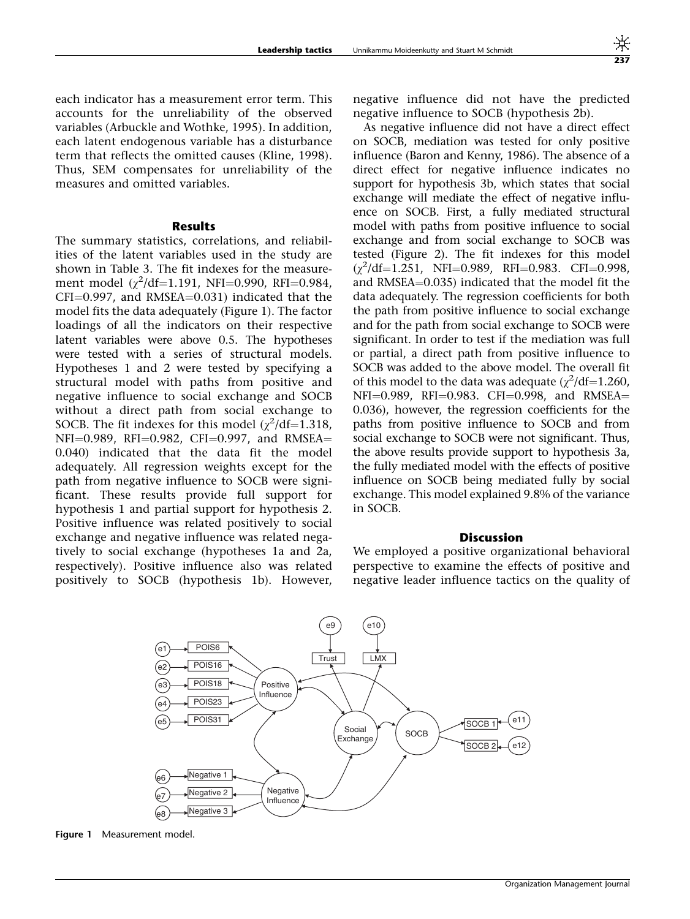each indicator has a measurement error term. This accounts for the unreliability of the observed variables (Arbuckle and Wothke, 1995). In addition, each latent endogenous variable has a disturbance term that reflects the omitted causes (Kline, 1998). Thus, SEM compensates for unreliability of the measures and omitted variables.

#### **Results**

The summary statistics, correlations, and reliabilities of the latent variables used in the study are shown in Table 3. The fit indexes for the measurement model ( $\chi^2$ /df=1.191, NFI=0.990, RFI=0.984,  $CFI=0.997$ , and RMSEA=0.031) indicated that the model fits the data adequately (Figure 1). The factor loadings of all the indicators on their respective latent variables were above 0.5. The hypotheses were tested with a series of structural models. Hypotheses 1 and 2 were tested by specifying a structural model with paths from positive and negative influence to social exchange and SOCB without a direct path from social exchange to SOCB. The fit indexes for this model  $(\chi^2/df=1.318)$ , NFI=0.989, RFI=0.982, CFI=0.997, and RMSEA= 0.040) indicated that the data fit the model adequately. All regression weights except for the path from negative influence to SOCB were significant. These results provide full support for hypothesis 1 and partial support for hypothesis 2. Positive influence was related positively to social exchange and negative influence was related negatively to social exchange (hypotheses 1a and 2a, respectively). Positive influence also was related positively to SOCB (hypothesis 1b). However, negative influence did not have the predicted negative influence to SOCB (hypothesis 2b).

As negative influence did not have a direct effect on SOCB, mediation was tested for only positive influence (Baron and Kenny, 1986). The absence of a direct effect for negative influence indicates no support for hypothesis 3b, which states that social exchange will mediate the effect of negative influence on SOCB. First, a fully mediated structural model with paths from positive influence to social exchange and from social exchange to SOCB was tested (Figure 2). The fit indexes for this model  $(\chi^2/\text{df}=1.251, \text{NFI}=0.989, \text{RFI}=0.983. \text{CFI}=0.998,$ and RMSEA $=$ 0.035) indicated that the model fit the data adequately. The regression coefficients for both the path from positive influence to social exchange and for the path from social exchange to SOCB were significant. In order to test if the mediation was full or partial, a direct path from positive influence to SOCB was added to the above model. The overall fit of this model to the data was adequate  $(\chi^2/df=1.260)$ , NFI=0.989, RFI=0.983. CFI=0.998, and RMSEA= 0.036), however, the regression coefficients for the paths from positive influence to SOCB and from social exchange to SOCB were not significant. Thus, the above results provide support to hypothesis 3a, the fully mediated model with the effects of positive influence on SOCB being mediated fully by social exchange. This model explained 9.8% of the variance in SOCB.

#### **Discussion**

We employed a positive organizational behavioral perspective to examine the effects of positive and negative leader influence tactics on the quality of



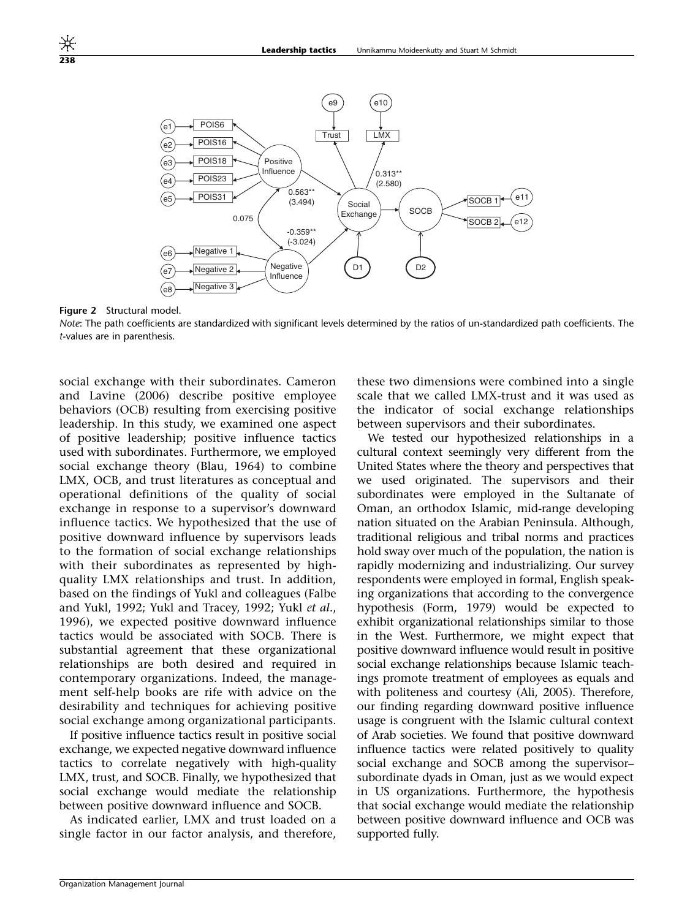

Figure 2 Structural model.

Note: The path coefficients are standardized with significant levels determined by the ratios of un-standardized path coefficients. The t-values are in parenthesis.

social exchange with their subordinates. Cameron and Lavine (2006) describe positive employee behaviors (OCB) resulting from exercising positive leadership. In this study, we examined one aspect of positive leadership; positive influence tactics used with subordinates. Furthermore, we employed social exchange theory (Blau, 1964) to combine LMX, OCB, and trust literatures as conceptual and operational definitions of the quality of social exchange in response to a supervisor's downward influence tactics. We hypothesized that the use of positive downward influence by supervisors leads to the formation of social exchange relationships with their subordinates as represented by highquality LMX relationships and trust. In addition, based on the findings of Yukl and colleagues (Falbe and Yukl, 1992; Yukl and Tracey, 1992; Yukl et al., 1996), we expected positive downward influence tactics would be associated with SOCB. There is substantial agreement that these organizational relationships are both desired and required in contemporary organizations. Indeed, the management self-help books are rife with advice on the desirability and techniques for achieving positive social exchange among organizational participants.

If positive influence tactics result in positive social exchange, we expected negative downward influence tactics to correlate negatively with high-quality LMX, trust, and SOCB. Finally, we hypothesized that social exchange would mediate the relationship between positive downward influence and SOCB.

As indicated earlier, LMX and trust loaded on a single factor in our factor analysis, and therefore, these two dimensions were combined into a single scale that we called LMX-trust and it was used as the indicator of social exchange relationships between supervisors and their subordinates.

We tested our hypothesized relationships in a cultural context seemingly very different from the United States where the theory and perspectives that we used originated. The supervisors and their subordinates were employed in the Sultanate of Oman, an orthodox Islamic, mid-range developing nation situated on the Arabian Peninsula. Although, traditional religious and tribal norms and practices hold sway over much of the population, the nation is rapidly modernizing and industrializing. Our survey respondents were employed in formal, English speaking organizations that according to the convergence hypothesis (Form, 1979) would be expected to exhibit organizational relationships similar to those in the West. Furthermore, we might expect that positive downward influence would result in positive social exchange relationships because Islamic teachings promote treatment of employees as equals and with politeness and courtesy (Ali, 2005). Therefore, our finding regarding downward positive influence usage is congruent with the Islamic cultural context of Arab societies. We found that positive downward influence tactics were related positively to quality social exchange and SOCB among the supervisor– subordinate dyads in Oman, just as we would expect in US organizations. Furthermore, the hypothesis that social exchange would mediate the relationship between positive downward influence and OCB was supported fully.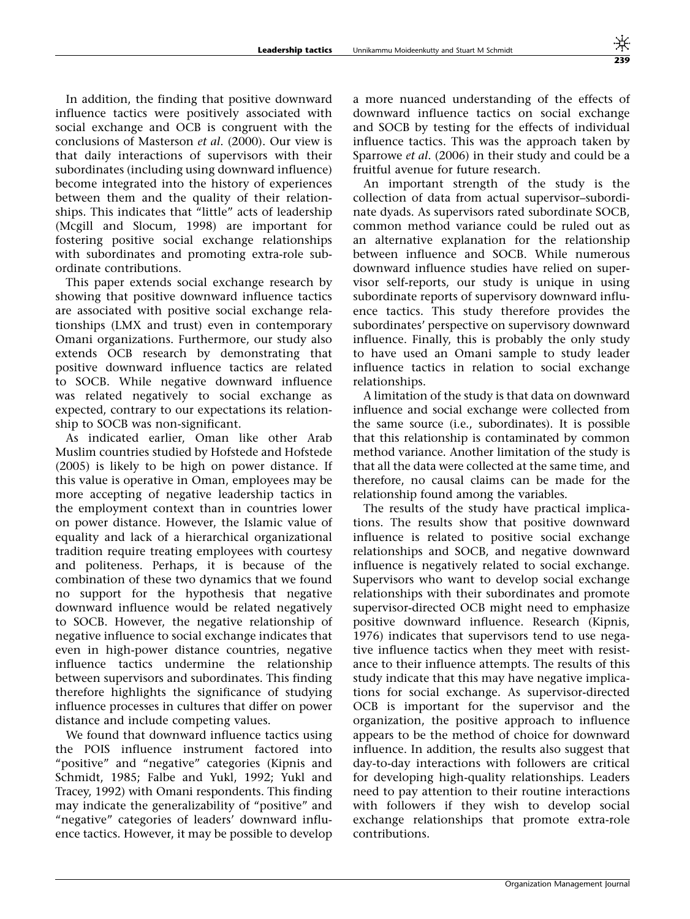**Leadership tactics** Unnikammu Moideenkutty and Stuart M Schmidt

In addition, the finding that positive downward influence tactics were positively associated with social exchange and OCB is congruent with the conclusions of Masterson et al. (2000). Our view is that daily interactions of supervisors with their subordinates (including using downward influence) become integrated into the history of experiences between them and the quality of their relationships. This indicates that "little" acts of leadership (Mcgill and Slocum, 1998) are important for fostering positive social exchange relationships with subordinates and promoting extra-role subordinate contributions.

This paper extends social exchange research by showing that positive downward influence tactics are associated with positive social exchange relationships (LMX and trust) even in contemporary Omani organizations. Furthermore, our study also extends OCB research by demonstrating that positive downward influence tactics are related to SOCB. While negative downward influence was related negatively to social exchange as expected, contrary to our expectations its relationship to SOCB was non-significant.

As indicated earlier, Oman like other Arab Muslim countries studied by Hofstede and Hofstede (2005) is likely to be high on power distance. If this value is operative in Oman, employees may be more accepting of negative leadership tactics in the employment context than in countries lower on power distance. However, the Islamic value of equality and lack of a hierarchical organizational tradition require treating employees with courtesy and politeness. Perhaps, it is because of the combination of these two dynamics that we found no support for the hypothesis that negative downward influence would be related negatively to SOCB. However, the negative relationship of negative influence to social exchange indicates that even in high-power distance countries, negative influence tactics undermine the relationship between supervisors and subordinates. This finding therefore highlights the significance of studying influence processes in cultures that differ on power distance and include competing values.

We found that downward influence tactics using the POIS influence instrument factored into "positive" and "negative" categories (Kipnis and Schmidt, 1985; Falbe and Yukl, 1992; Yukl and Tracey, 1992) with Omani respondents. This finding may indicate the generalizability of "positive" and "negative" categories of leaders' downward influence tactics. However, it may be possible to develop a more nuanced understanding of the effects of downward influence tactics on social exchange and SOCB by testing for the effects of individual influence tactics. This was the approach taken by Sparrowe et al. (2006) in their study and could be a fruitful avenue for future research.

An important strength of the study is the collection of data from actual supervisor–subordinate dyads. As supervisors rated subordinate SOCB, common method variance could be ruled out as an alternative explanation for the relationship between influence and SOCB. While numerous downward influence studies have relied on supervisor self-reports, our study is unique in using subordinate reports of supervisory downward influence tactics. This study therefore provides the subordinates' perspective on supervisory downward influence. Finally, this is probably the only study to have used an Omani sample to study leader influence tactics in relation to social exchange relationships.

A limitation of the study is that data on downward influence and social exchange were collected from the same source (i.e., subordinates). It is possible that this relationship is contaminated by common method variance. Another limitation of the study is that all the data were collected at the same time, and therefore, no causal claims can be made for the relationship found among the variables.

The results of the study have practical implications. The results show that positive downward influence is related to positive social exchange relationships and SOCB, and negative downward influence is negatively related to social exchange. Supervisors who want to develop social exchange relationships with their subordinates and promote supervisor-directed OCB might need to emphasize positive downward influence. Research (Kipnis, 1976) indicates that supervisors tend to use negative influence tactics when they meet with resistance to their influence attempts. The results of this study indicate that this may have negative implications for social exchange. As supervisor-directed OCB is important for the supervisor and the organization, the positive approach to influence appears to be the method of choice for downward influence. In addition, the results also suggest that day-to-day interactions with followers are critical for developing high-quality relationships. Leaders need to pay attention to their routine interactions with followers if they wish to develop social exchange relationships that promote extra-role contributions.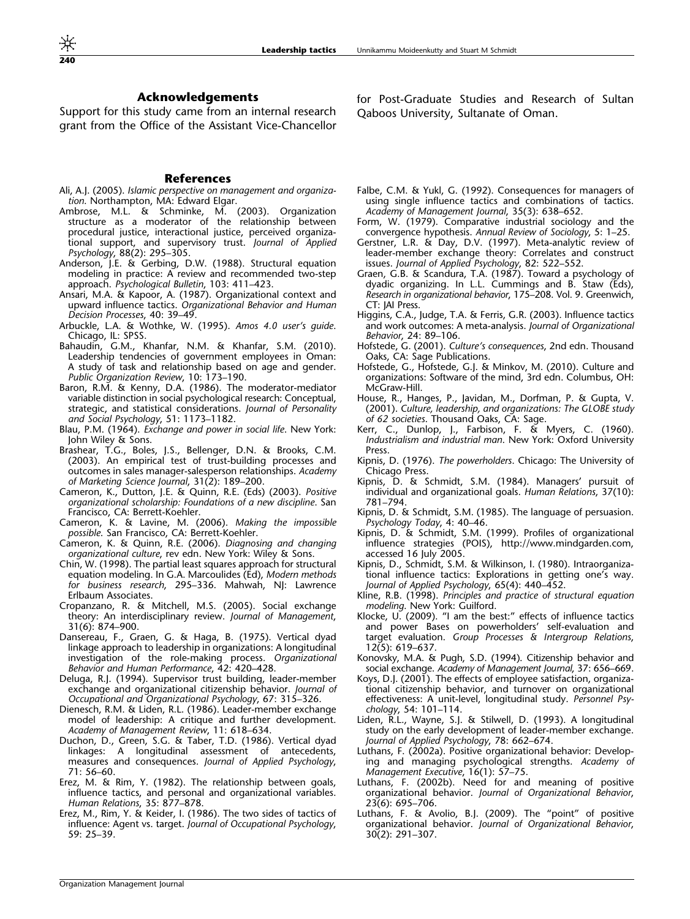#### Acknowledgements

Support for this study came from an internal research grant from the Office of the Assistant Vice-Chancellor

#### References

- Ali, A.J. (2005). Islamic perspective on management and organization. Northampton, MA: Edward Elgar.
- Ambrose, M.L. & Schminke, M. (2003). Organization structure as a moderator of the relationship between procedural justice, interactional justice, perceived organizational support, and supervisory trust. Journal of Applied Psychology, 88(2): 295–305.
- Anderson, J.E. & Gerbing, D.W. (1988). Structural equation modeling in practice: A review and recommended two-step approach. Psychological Bulletin, 103: 411–423.
- Ansari, M.A. & Kapoor, A. (1987). Organizational context and upward influence tactics. Organizational Behavior and Human Decision Processes, 40: 39–49.
- Arbuckle, L.A. & Wothke, W. (1995). Amos 4.0 user's guide. Chicago, IL: SPSS.
- Bahaudin, G.M., Khanfar, N.M. & Khanfar, S.M. (2010). Leadership tendencies of government employees in Oman: A study of task and relationship based on age and gender. Public Organization Review, 10: 173–190.
- Baron, R.M. & Kenny, D.A. (1986). The moderator-mediator variable distinction in social psychological research: Conceptual, strategic, and statistical considerations. Journal of Personality and Social Psychology, 51: 1173–1182.
- Blau, P.M. (1964). Exchange and power in social life. New York: John Wiley & Sons.
- Brashear, T.G., Boles, J.S., Bellenger, D.N. & Brooks, C.M. (2003). An empirical test of trust-building processes and outcomes in sales manager-salesperson relationships. Academy of Marketing Science Journal, 31(2): 189–200.
- Cameron, K., Dutton, J.E. & Quinn, R.E. (Eds) (2003). Positive organizational scholarship: Foundations of a new discipline. San Francisco, CA: Berrett-Koehler.
- Cameron, K. & Lavine, M. (2006). Making the impossible possible. San Francisco, CA: Berrett-Koehler.
- Cameron, K. & Quinn, R.E. (2006). Diagnosing and changing organizational culture, rev edn. New York: Wiley & Sons.
- Chin, W. (1998). The partial least squares approach for structural equation modeling. In G.A. Marcoulides (Ed), Modern methods for business research, 295–336. Mahwah, NJ: Lawrence Erlbaum Associates.
- Cropanzano, R. & Mitchell, M.S. (2005). Social exchange theory: An interdisciplinary review. Journal of Management, 31(6): 874–900.
- Dansereau, F., Graen, G. & Haga, B. (1975). Vertical dyad linkage approach to leadership in organizations: A longitudinal investigation of the role-making process. Organizational Behavior and Human Performance, 42: 420–428.
- Deluga, R.J. (1994). Supervisor trust building, leader-member exchange and organizational citizenship behavior. Journal of Occupational and Organizational Psychology, 67: 315–326.
- Dienesch, R.M. & Liden, R.L. (1986). Leader-member exchange model of leadership: A critique and further development. Academy of Management Review, 11: 618–634.
- Duchon, D., Green, S.G. & Taber, T.D. (1986). Vertical dyad linkages: A longitudinal assessment of antecedents, measures and consequences. Journal of Applied Psychology, 71: 56–60.
- Erez, M. & Rim, Y. (1982). The relationship between goals, influence tactics, and personal and organizational variables. Human Relations, 35: 877–878.
- Erez, M., Rim, Y. & Keider, I. (1986). The two sides of tactics of influence: Agent vs. target. Journal of Occupational Psychology, 59: 25–39.

for Post-Graduate Studies and Research of Sultan Qaboos University, Sultanate of Oman.

- Falbe, C.M. & Yukl, G. (1992). Consequences for managers of using single influence tactics and combinations of tactics. Academy of Management Journal, 35(3): 638–652.
- Form, W. (1979). Comparative industrial sociology and the convergence hypothesis. Annual Review of Sociology, 5: 1–25.
- Gerstner, L.R. & Day, D.V. (1997). Meta-analytic review of leader-member exchange theory: Correlates and construct issues. Journal of Applied Psychology, 82: 522–552.
- Graen, G.B. & Scandura, T.A. (1987). Toward a psychology of dyadic organizing. In L.L. Cummings and B. Staw (Eds), Research in organizational behavior, 175–208. Vol. 9. Greenwich, CT: JAI Press.
- Higgins, C.A., Judge, T.A. & Ferris, G.R. (2003). Influence tactics and work outcomes: A meta-analysis. Journal of Organizational Behavior, 24: 89–106.
- Hofstede, G. (2001). Culture's consequences, 2nd edn. Thousand Oaks, CA: Sage Publications.
- Hofstede, G., Hofstede, G.J. & Minkov, M. (2010). Culture and organizations: Software of the mind, 3rd edn. Columbus, OH: McGraw-Hill.
- House, R., Hanges, P., Javidan, M., Dorfman, P. & Gupta, V. (2001). Culture, leadership, and organizations: The GLOBE study of 62 societies. Thousand Oaks, CA: Sage.
- Kerr, C., Dunlop, J., Farbison, F. & Myers, C. (1960). Industrialism and industrial man. New York: Oxford University Press.
- Kipnis, D. (1976). The powerholders. Chicago: The University of Chicago Press.
- Kipnis, D. & Schmidt, S.M. (1984). Managers' pursuit of individual and organizational goals. Human Relations, 37(10): 781–794.
- Kipnis, D. & Schmidt, S.M. (1985). The language of persuasion. Psychology Today, 4: 40–46.
- Kipnis, D. & Schmidt, S.M. (1999). Profiles of organizational influence strategies (POIS), http://www.mindgarden.com, accessed 16 July 2005.
- Kipnis, D., Schmidt, S.M. & Wilkinson, I. (1980). Intraorganizational influence tactics: Explorations in getting one's way. Journal of Applied Psychology, 65(4): 440–452.
- Kline, R.B. (1998). Principles and practice of structural equation modeling. New York: Guilford.
- Klocke, U. (2009). "I am the best:" effects of influence tactics and power Bases on powerholders' self-evaluation and target evaluation. Group Processes & Intergroup Relations, 12(5): 619–637.
- Konovsky, M.A. & Pugh, S.D. (1994). Citizenship behavior and social exchange. Academy of Management Journal, 37: 656–669.
- Koys, D.J. (2001). The effects of employee satisfaction, organizational citizenship behavior, and turnover on organizational effectiveness: A unit-level, longitudinal study. Personnel Psychology, 54: 101–114.
- Liden, R.L., Wayne, S.J. & Stilwell, D. (1993). A longitudinal study on the early development of leader-member exchange. Journal of Applied Psychology, 78: 662–674.
- Luthans, F. (2002a). Positive organizational behavior: Developing and managing psychological strengths. Academy of Management Executive, 16(1): 57–75.
- Luthans, F. (2002b). Need for and meaning of positive organizational behavior. Journal of Organizational Behavior, 23(6): 695–706.
- Luthans, F. & Avolio, B.J. (2009). The "point" of positive organizational behavior. Journal of Organizational Behavior, 30(2): 291–307.